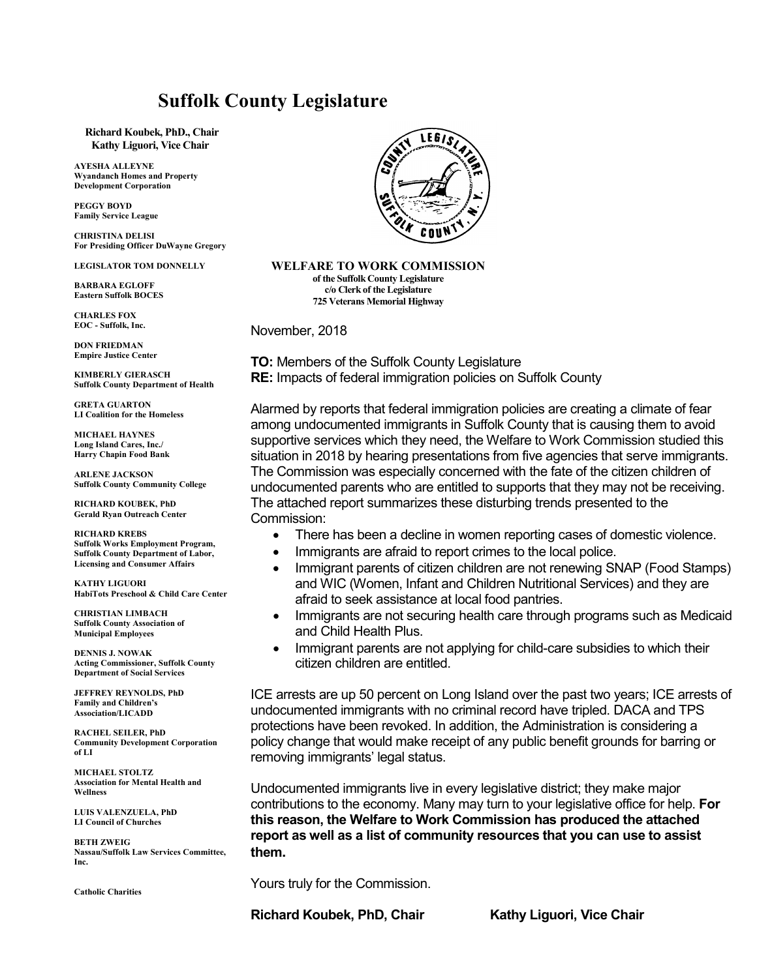#### **Suffolk County Legislature**

**Richard Koubek, PhD., Chair Kathy Liguori, Vice Chair**

**AYESHA ALLEYNE Wyandanch Homes and Property Development Corporation**

**PEGGY BOYD Family Service League**

**CHRISTINA DELISI For Presiding Officer DuWayne Gregory**

**LEGISLATOR TOM DONNELLY**

**BARBARA EGLOFF Eastern Suffolk BOCES**

**CHARLES FOX**  $\mathbf{EOC}$  - Suffolk, Inc.

**DON FRIEDMAN Empire Justice Center** 

**KIMBERLY GIERASCH Suffolk County Department of Health**

**GRETA GUARTON LI Coalition for the Homeless**

**MICHAEL HAYNES Long Island Cares, Inc./ Harry Chapin Food Bank**

**ARLENE JACKSON Suffolk County Community College**

**RICHARD KOUBEK, PhD Gerald Ryan Outreach Center**

**RICHARD KREBS Suffolk Works Employment Program, Suffolk County Department of Labor, Licensing and Consumer Affairs**

**KATHY LIGUORI HabiTots Preschool & Child Care Center**

**CHRISTIAN LIMBACH Suffolk County Association of Municipal Employees**

**DENNIS J. NOWAK Acting Commissioner, Suffolk County Department of Social Services**

**JEFFREY REYNOLDS, PhD Family and Children's Association/LICADD**

**RACHEL SEILER, PhD Community Development Corporation of LI**

**MICHAEL STOLTZ Association for Mental Health and Wellness**

**LUIS VALENZUELA, PhD LI Council of Churches**

**BETH ZWEIG Nassau/Suffolk Law Services Committee, Inc.**

**Catholic Charities**



**WELFARE TO WORK COMMISSION of the Suffolk County Legislature c/o Clerk of the Legislature 725 Veterans Memorial Highway**

November, 2018

**TO:** Members of the Suffolk County Legislature **RE:** Impacts of federal immigration policies on Suffolk County

Alarmed by reports that federal immigration policies are creating a climate of fear among undocumented immigrants in Suffolk County that is causing them to avoid supportive services which they need, the Welfare to Work Commission studied this situation in 2018 by hearing presentations from five agencies that serve immigrants. The Commission was especially concerned with the fate of the citizen children of undocumented parents who are entitled to supports that they may not be receiving. The attached report summarizes these disturbing trends presented to the Commission:

- There has been a decline in women reporting cases of domestic violence.
- Immigrants are afraid to report crimes to the local police.
- Immigrant parents of citizen children are not renewing SNAP (Food Stamps) and WIC (Women, Infant and Children Nutritional Services) and they are afraid to seek assistance at local food pantries.
- Immigrants are not securing health care through programs such as Medicaid and Child Health Plus.
- Immigrant parents are not applying for child-care subsidies to which their citizen children are entitled.

ICE arrests are up 50 percent on Long Island over the past two years; ICE arrests of undocumented immigrants with no criminal record have tripled. DACA and TPS protections have been revoked. In addition, the Administration is considering a policy change that would make receipt of any public benefit grounds for barring or removing immigrants' legal status.

Undocumented immigrants live in every legislative district; they make major contributions to the economy. Many may turn to your legislative office for help. **For this reason, the Welfare to Work Commission has produced the attached report as well as a list of community resources that you can use to assist them.**

Yours truly for the Commission.

Richard Koubek, PhD, Chair Kathy Liguori, Vice Chair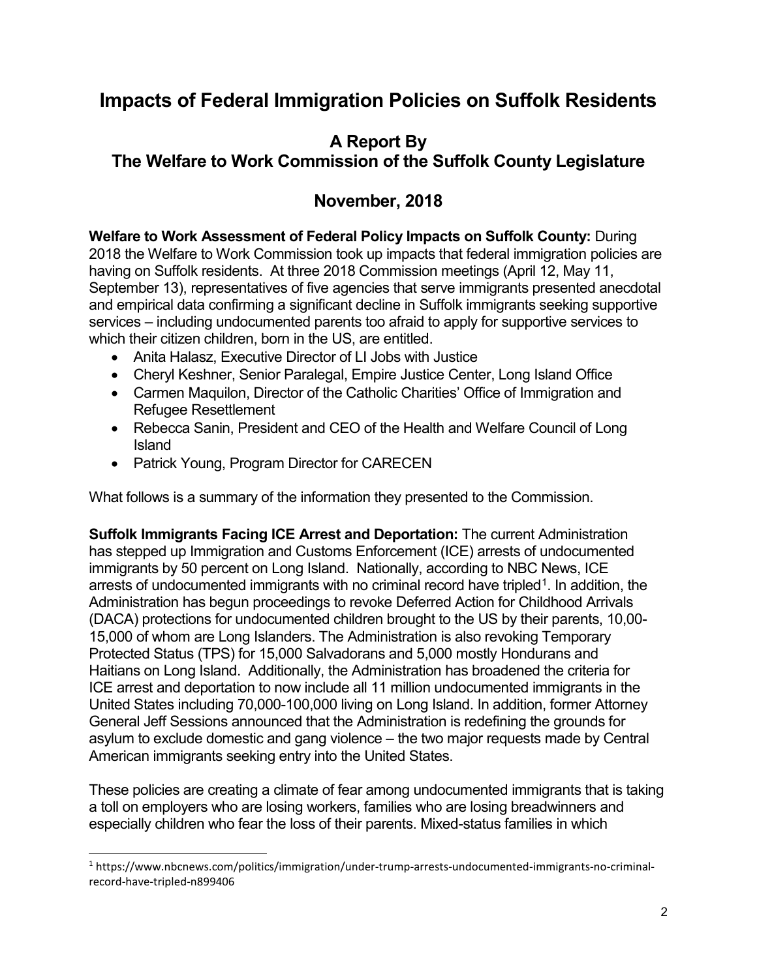## **Impacts of Federal Immigration Policies on Suffolk Residents**

# **A Report By**

#### **The Welfare to Work Commission of the Suffolk County Legislature**

### **November, 2018**

**Welfare to Work Assessment of Federal Policy Impacts on Suffolk County:** During 2018 the Welfare to Work Commission took up impacts that federal immigration policies are having on Suffolk residents. At three 2018 Commission meetings (April 12, May 11, September 13), representatives of five agencies that serve immigrants presented anecdotal and empirical data confirming a significant decline in Suffolk immigrants seeking supportive services – including undocumented parents too afraid to apply for supportive services to which their citizen children, born in the US, are entitled.

- Anita Halasz, Executive Director of LI Jobs with Justice
- Cheryl Keshner, Senior Paralegal, Empire Justice Center, Long Island Office
- Carmen Maquilon, Director of the Catholic Charities' Office of Immigration and Refugee Resettlement
- Rebecca Sanin, President and CEO of the Health and Welfare Council of Long Island
- Patrick Young, Program Director for CARECEN

What follows is a summary of the information they presented to the Commission.

**Suffolk Immigrants Facing ICE Arrest and Deportation:** The current Administration has stepped up Immigration and Customs Enforcement (ICE) arrests of undocumented immigrants by 50 percent on Long Island. Nationally, according to NBC News, ICE arrests of undocumented immigrants with no criminal record have tripled<sup>1</sup>. In addition, the Administration has begun proceedings to revoke Deferred Action for Childhood Arrivals (DACA) protections for undocumented children brought to the US by their parents, 10,00- 15,000 of whom are Long Islanders. The Administration is also revoking Temporary Protected Status (TPS) for 15,000 Salvadorans and 5,000 mostly Hondurans and Haitians on Long Island. Additionally, the Administration has broadened the criteria for ICE arrest and deportation to now include all 11 million undocumented immigrants in the United States including 70,000-100,000 living on Long Island. In addition, former Attorney General Jeff Sessions announced that the Administration is redefining the grounds for asylum to exclude domestic and gang violence – the two major requests made by Central American immigrants seeking entry into the United States.

These policies are creating a climate of fear among undocumented immigrants that is taking a toll on employers who are losing workers, families who are losing breadwinners and especially children who fear the loss of their parents. Mixed-status families in which

<span id="page-1-0"></span>j <sup>1</sup> https://www.nbcnews.com/politics/immigration/under-trump-arrests-undocumented-immigrants-no-criminalrecord-have-tripled-n899406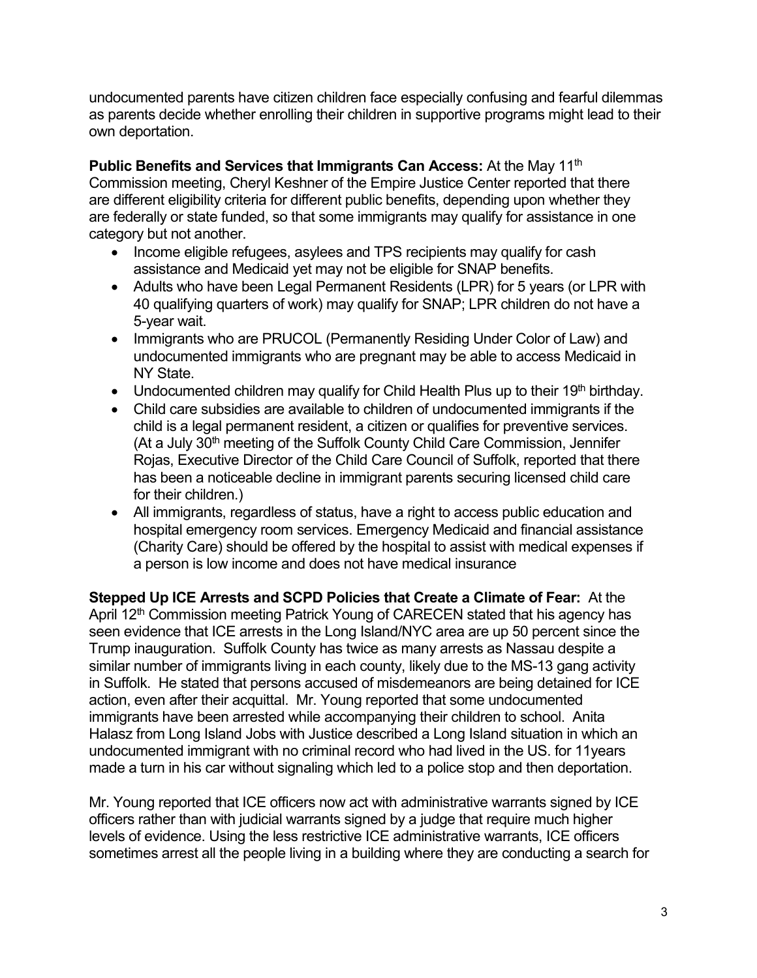undocumented parents have citizen children face especially confusing and fearful dilemmas as parents decide whether enrolling their children in supportive programs might lead to their own deportation.

**Public Benefits and Services that Immigrants Can Access:** At the May 11<sup>th</sup> Commission meeting, Cheryl Keshner of the Empire Justice Center reported that there are different eligibility criteria for different public benefits, depending upon whether they are federally or state funded, so that some immigrants may qualify for assistance in one category but not another.

- Income eligible refugees, asylees and TPS recipients may qualify for cash assistance and Medicaid yet may not be eligible for SNAP benefits.
- Adults who have been Legal Permanent Residents (LPR) for 5 years (or LPR with 40 qualifying quarters of work) may qualify for SNAP; LPR children do not have a 5-year wait.
- Immigrants who are PRUCOL (Permanently Residing Under Color of Law) and undocumented immigrants who are pregnant may be able to access Medicaid in NY State.
- Undocumented children may qualify for Child Health Plus up to their 19<sup>th</sup> birthday.
- Child care subsidies are available to children of undocumented immigrants if the child is a legal permanent resident, a citizen or qualifies for preventive services. (At a July 30<sup>th</sup> meeting of the Suffolk County Child Care Commission, Jennifer Rojas, Executive Director of the Child Care Council of Suffolk, reported that there has been a noticeable decline in immigrant parents securing licensed child care for their children.)
- All immigrants, regardless of status, have a right to access public education and hospital emergency room services. Emergency Medicaid and financial assistance (Charity Care) should be offered by the hospital to assist with medical expenses if a person is low income and does not have medical insurance

**Stepped Up ICE Arrests and SCPD Policies that Create a Climate of Fear:** At the April 12<sup>th</sup> Commission meeting Patrick Young of CARECEN stated that his agency has seen evidence that ICE arrests in the Long Island/NYC area are up 50 percent since the Trump inauguration. Suffolk County has twice as many arrests as Nassau despite a similar number of immigrants living in each county, likely due to the MS-13 gang activity in Suffolk. He stated that persons accused of misdemeanors are being detained for ICE action, even after their acquittal. Mr. Young reported that some undocumented immigrants have been arrested while accompanying their children to school. Anita Halasz from Long Island Jobs with Justice described a Long Island situation in which an undocumented immigrant with no criminal record who had lived in the US. for 11years made a turn in his car without signaling which led to a police stop and then deportation.

Mr. Young reported that ICE officers now act with administrative warrants signed by ICE officers rather than with judicial warrants signed by a judge that require much higher levels of evidence. Using the less restrictive ICE administrative warrants, ICE officers sometimes arrest all the people living in a building where they are conducting a search for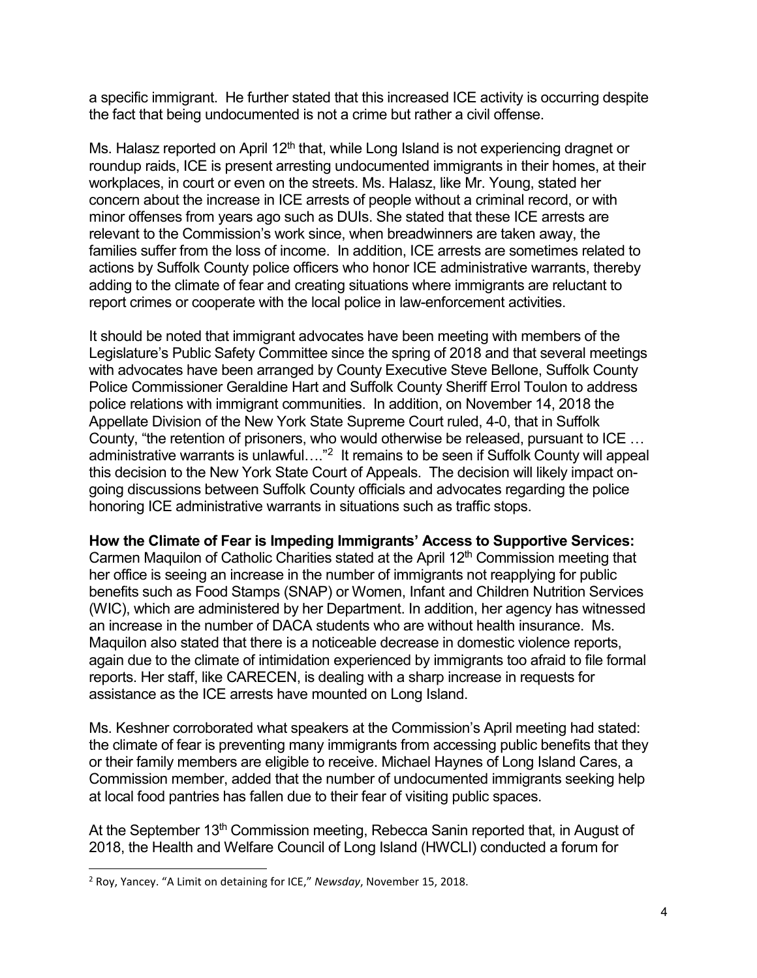a specific immigrant. He further stated that this increased ICE activity is occurring despite the fact that being undocumented is not a crime but rather a civil offense.

Ms. Halasz reported on April  $12<sup>th</sup>$  that, while Long Island is not experiencing dragnet or roundup raids, ICE is present arresting undocumented immigrants in their homes, at their workplaces, in court or even on the streets. Ms. Halasz, like Mr. Young, stated her concern about the increase in ICE arrests of people without a criminal record, or with minor offenses from years ago such as DUIs. She stated that these ICE arrests are relevant to the Commission's work since, when breadwinners are taken away, the families suffer from the loss of income. In addition, ICE arrests are sometimes related to actions by Suffolk County police officers who honor ICE administrative warrants, thereby adding to the climate of fear and creating situations where immigrants are reluctant to report crimes or cooperate with the local police in law-enforcement activities.

It should be noted that immigrant advocates have been meeting with members of the Legislature's Public Safety Committee since the spring of 2018 and that several meetings with advocates have been arranged by County Executive Steve Bellone, Suffolk County Police Commissioner Geraldine Hart and Suffolk County Sheriff Errol Toulon to address police relations with immigrant communities. In addition, on November 14, 2018 the Appellate Division of the New York State Supreme Court ruled, 4-0, that in Suffolk County, "the retention of prisoners, who would otherwise be released, pursuant to ICE … administrative warrants is unlawful...."<sup>2</sup> It remains to be seen if Suffolk County will appeal this decision to the New York State Court of Appeals. The decision will likely impact ongoing discussions between Suffolk County officials and advocates regarding the police honoring ICE administrative warrants in situations such as traffic stops.

#### **How the Climate of Fear is Impeding Immigrants' Access to Supportive Services:**

Carmen Maquilon of Catholic Charities stated at the April 12<sup>th</sup> Commission meeting that her office is seeing an increase in the number of immigrants not reapplying for public benefits such as Food Stamps (SNAP) or Women, Infant and Children Nutrition Services (WIC), which are administered by her Department. In addition, her agency has witnessed an increase in the number of DACA students who are without health insurance. Ms. Maquilon also stated that there is a noticeable decrease in domestic violence reports, again due to the climate of intimidation experienced by immigrants too afraid to file formal reports. Her staff, like CARECEN, is dealing with a sharp increase in requests for assistance as the ICE arrests have mounted on Long Island.

Ms. Keshner corroborated what speakers at the Commission's April meeting had stated: the climate of fear is preventing many immigrants from accessing public benefits that they or their family members are eligible to receive. Michael Haynes of Long Island Cares, a Commission member, added that the number of undocumented immigrants seeking help at local food pantries has fallen due to their fear of visiting public spaces.

At the September 13<sup>th</sup> Commission meeting, Rebecca Sanin reported that, in August of 2018, the Health and Welfare Council of Long Island (HWCLI) conducted a forum for

-

<span id="page-3-0"></span><sup>2</sup> Roy, Yancey. "A Limit on detaining for ICE," *Newsday*, November 15, 2018.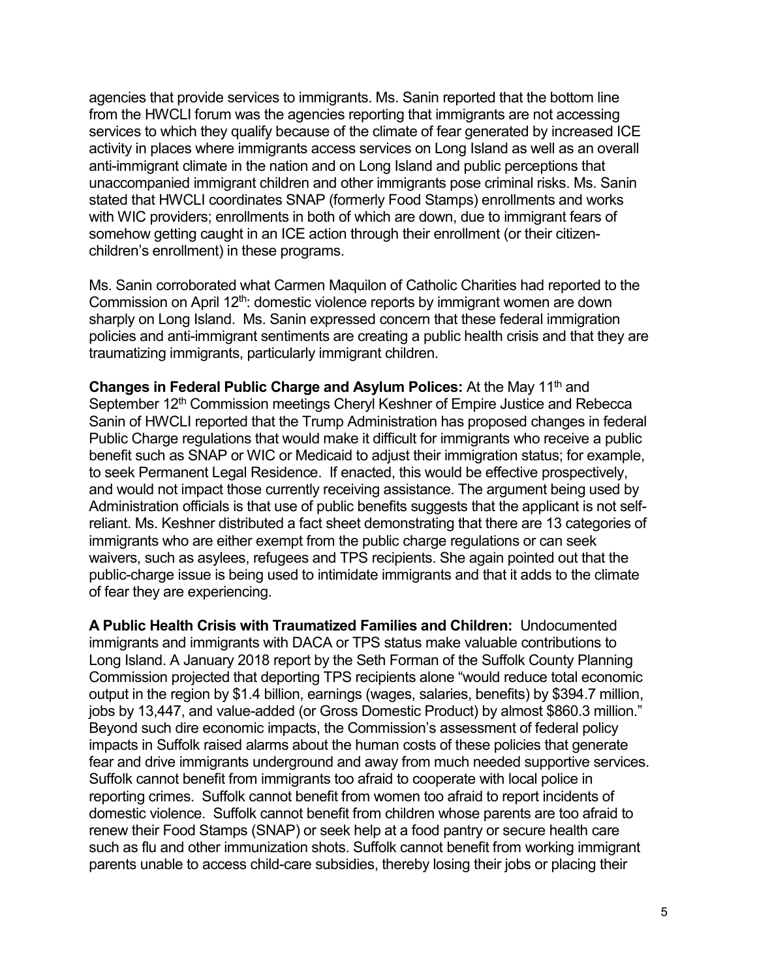agencies that provide services to immigrants. Ms. Sanin reported that the bottom line from the HWCLI forum was the agencies reporting that immigrants are not accessing services to which they qualify because of the climate of fear generated by increased ICE activity in places where immigrants access services on Long Island as well as an overall anti-immigrant climate in the nation and on Long Island and public perceptions that unaccompanied immigrant children and other immigrants pose criminal risks. Ms. Sanin stated that HWCLI coordinates SNAP (formerly Food Stamps) enrollments and works with WIC providers; enrollments in both of which are down, due to immigrant fears of somehow getting caught in an ICE action through their enrollment (or their citizenchildren's enrollment) in these programs.

Ms. Sanin corroborated what Carmen Maquilon of Catholic Charities had reported to the Commission on April 12<sup>th</sup>: domestic violence reports by immigrant women are down sharply on Long Island. Ms. Sanin expressed concern that these federal immigration policies and anti-immigrant sentiments are creating a public health crisis and that they are traumatizing immigrants, particularly immigrant children.

**Changes in Federal Public Charge and Asylum Polices:** At the May 11<sup>th</sup> and September 12<sup>th</sup> Commission meetings Cheryl Keshner of Empire Justice and Rebecca Sanin of HWCLI reported that the Trump Administration has proposed changes in federal Public Charge regulations that would make it difficult for immigrants who receive a public benefit such as SNAP or WIC or Medicaid to adjust their immigration status; for example, to seek Permanent Legal Residence. If enacted, this would be effective prospectively, and would not impact those currently receiving assistance. The argument being used by Administration officials is that use of public benefits suggests that the applicant is not selfreliant. Ms. Keshner distributed a fact sheet demonstrating that there are 13 categories of immigrants who are either exempt from the public charge regulations or can seek waivers, such as asylees, refugees and TPS recipients. She again pointed out that the public-charge issue is being used to intimidate immigrants and that it adds to the climate of fear they are experiencing.

**A Public Health Crisis with Traumatized Families and Children:** Undocumented immigrants and immigrants with DACA or TPS status make valuable contributions to Long Island. A January 2018 report by the Seth Forman of the Suffolk County Planning Commission projected that deporting TPS recipients alone "would reduce total economic output in the region by \$1.4 billion, earnings (wages, salaries, benefits) by \$394.7 million, jobs by 13,447, and value-added (or Gross Domestic Product) by almost \$860.3 million." Beyond such dire economic impacts, the Commission's assessment of federal policy impacts in Suffolk raised alarms about the human costs of these policies that generate fear and drive immigrants underground and away from much needed supportive services. Suffolk cannot benefit from immigrants too afraid to cooperate with local police in reporting crimes. Suffolk cannot benefit from women too afraid to report incidents of domestic violence. Suffolk cannot benefit from children whose parents are too afraid to renew their Food Stamps (SNAP) or seek help at a food pantry or secure health care such as flu and other immunization shots. Suffolk cannot benefit from working immigrant parents unable to access child-care subsidies, thereby losing their jobs or placing their